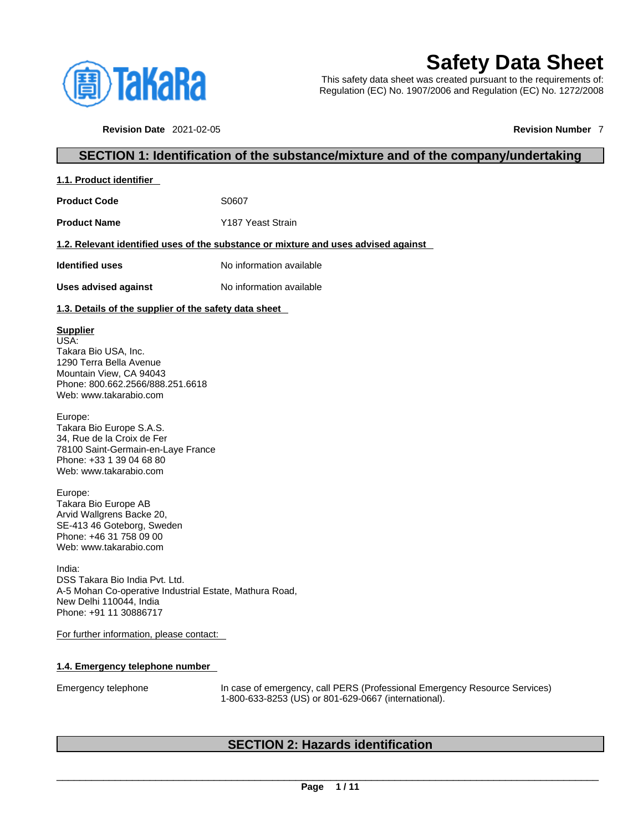

# **Safety Data Sheet**

This safety data sheet was created pursuant to the requirements of: Regulation (EC) No. 1907/2006 and Regulation (EC) No. 1272/2008

**Revision Date** 2021-02-05 **Revision Number** 7

### **SECTION 1: Identification of the substance/mixture and of the company/undertaking**

|--|

**Product Code 50607** 

**Product Name** Y187 Yeast Strain

#### **1.2. Relevant identified uses of the substance or mixture and uses advised against**

**Identified uses** No information available

**Uses advised against** No information available

#### **1.3. Details of the supplier of the safety data sheet**

#### **Supplier**

USA: Takara Bio USA, Inc. 1290 Terra Bella Avenue Mountain View, CA 94043 Phone: 800.662.2566/888.251.6618 Web: www.takarabio.com

Europe: Takara Bio Europe S.A.S. 34, Rue de la Croix de Fer 78100 Saint-Germain-en-Laye France Phone: +33 1 39 04 68 80 Web: www.takarabio.com

Europe: Takara Bio Europe AB Arvid Wallgrens Backe 20, SE-413 46 Goteborg, Sweden Phone: +46 31 758 09 00 Web: www.takarabio.com

India: DSS Takara Bio India Pvt. Ltd. A-5 Mohan Co-operative Industrial Estate, Mathura Road, New Delhi 110044, India Phone: +91 11 30886717

For further information, please contact:

#### **1.4. Emergency telephone number**

Emergency telephone In case of emergency, call PERS (Professional Emergency Resource Services) 1-800-633-8253 (US) or 801-629-0667 (international).

### **SECTION 2: Hazards identification**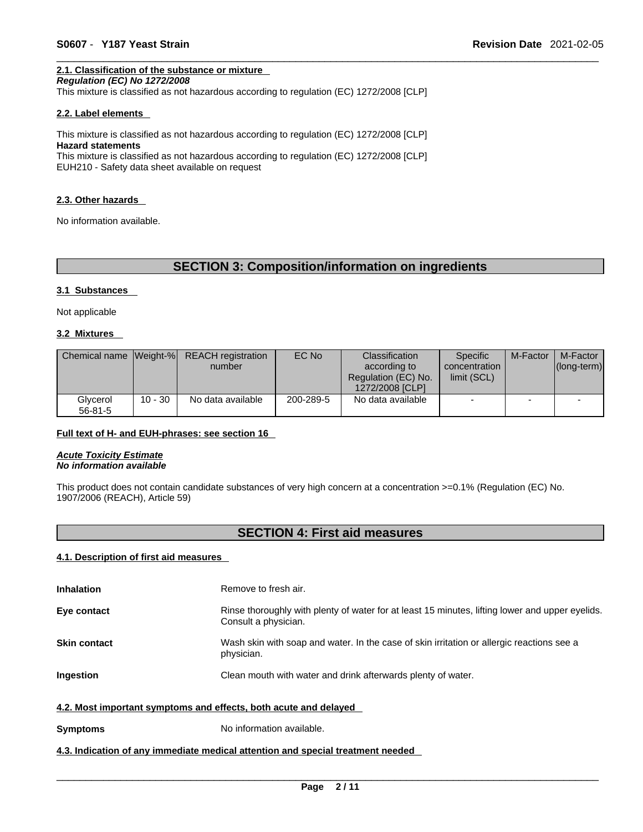### **2.1. Classification of the substance or mixture**

*Regulation (EC) No 1272/2008* 

This mixture is classified as not hazardous according to regulation (EC) 1272/2008 [CLP]

#### **2.2. Label elements**

This mixture is classified as not hazardous according to regulation (EC) 1272/2008 [CLP] **Hazard statements** This mixture is classified as not hazardous according to regulation (EC) 1272/2008 [CLP]

EUH210 - Safety data sheet available on request

#### **2.3. Other hazards**

No information available.

### **SECTION 3: Composition/information on ingredients**

#### **3.1 Substances**

Not applicable

#### **3.2 Mixtures**

| Chemical name Weight-%    |           | <b>REACH</b> registration<br>number | EC No     | Classification<br>according to<br>Regulation (EC) No.<br>1272/2008 [CLP] | Specific<br>concentration<br>limit (SCL) | M-Factor | M-Factor<br>$ $ (long-term) $ $ |
|---------------------------|-----------|-------------------------------------|-----------|--------------------------------------------------------------------------|------------------------------------------|----------|---------------------------------|
| Glvcerol<br>$56 - 81 - 5$ | $10 - 30$ | No data available                   | 200-289-5 | No data available                                                        | -                                        |          |                                 |

#### **Full text of H- and EUH-phrases: see section 16**

*Acute Toxicity Estimate No information available* 

This product does not contain candidate substances of very high concern at a concentration >=0.1% (Regulation (EC) No. 1907/2006 (REACH), Article 59)

### **SECTION 4: First aid measures**

#### **4.1. Description of first aid measures**

| <b>Inhalation</b>                                                | Remove to fresh air.                                                                                                    |
|------------------------------------------------------------------|-------------------------------------------------------------------------------------------------------------------------|
| Eye contact                                                      | Rinse thoroughly with plenty of water for at least 15 minutes, lifting lower and upper eyelids.<br>Consult a physician. |
| <b>Skin contact</b>                                              | Wash skin with soap and water. In the case of skin irritation or allergic reactions see a<br>physician.                 |
| <b>Ingestion</b>                                                 | Clean mouth with water and drink afterwards plenty of water.                                                            |
| 4.2. Most important symptoms and effects, both acute and delayed |                                                                                                                         |
| <b>Symptoms</b>                                                  | No information available.                                                                                               |

#### **4.3. Indication of any immediate medical attention and special treatment needed**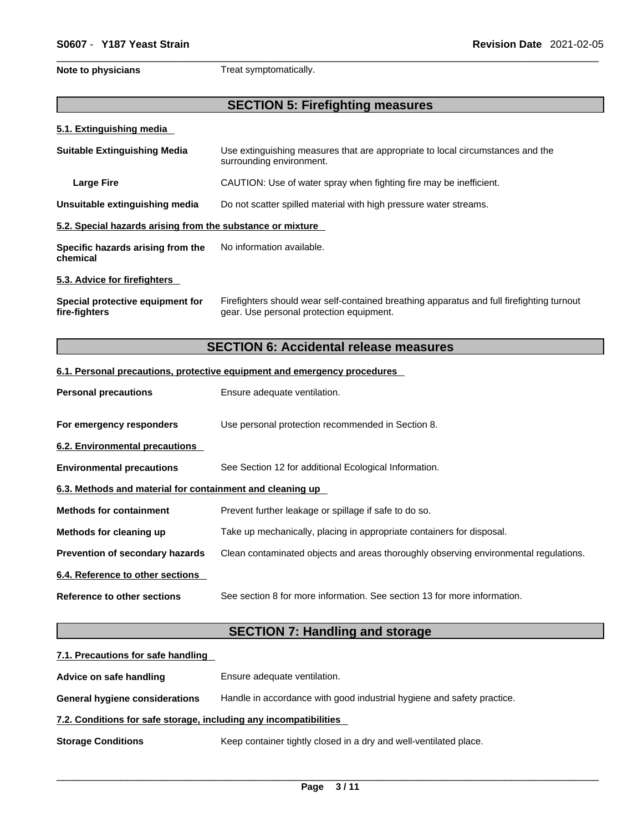**Note to physicians** Treat symptomatically.

### **SECTION 5: Firefighting measures**

#### **5.1. Extinguishing media**

| <b>Suitable Extinguishing Media</b>                        | Use extinguishing measures that are appropriate to local circumstances and the<br>surrounding environment.                            |
|------------------------------------------------------------|---------------------------------------------------------------------------------------------------------------------------------------|
| <b>Large Fire</b>                                          | CAUTION: Use of water spray when fighting fire may be inefficient.                                                                    |
| Unsuitable extinguishing media                             | Do not scatter spilled material with high pressure water streams.                                                                     |
| 5.2. Special hazards arising from the substance or mixture |                                                                                                                                       |
| Specific hazards arising from the<br>chemical              | No information available.                                                                                                             |
| 5.3. Advice for firefighters                               |                                                                                                                                       |
| Special protective equipment for<br>fire-fighters          | Firefighters should wear self-contained breathing apparatus and full firefighting turnout<br>gear. Use personal protection equipment. |

## **SECTION 6: Accidental release measures**

#### **6.1. Personal precautions, protective equipment and emergency procedures**

| <b>Personal precautions</b>                               | Ensure adequate ventilation.                                                         |
|-----------------------------------------------------------|--------------------------------------------------------------------------------------|
| For emergency responders                                  | Use personal protection recommended in Section 8.                                    |
| 6.2. Environmental precautions                            |                                                                                      |
| <b>Environmental precautions</b>                          | See Section 12 for additional Ecological Information.                                |
| 6.3. Methods and material for containment and cleaning up |                                                                                      |
| <b>Methods for containment</b>                            | Prevent further leakage or spillage if safe to do so.                                |
| Methods for cleaning up                                   | Take up mechanically, placing in appropriate containers for disposal.                |
| <b>Prevention of secondary hazards</b>                    | Clean contaminated objects and areas thoroughly observing environmental regulations. |
| 6.4. Reference to other sections                          |                                                                                      |
| Reference to other sections                               | See section 8 for more information. See section 13 for more information.             |

## **SECTION 7: Handling and storage**

| 7.1. Precautions for safe handling                                |                                                                        |
|-------------------------------------------------------------------|------------------------------------------------------------------------|
| Advice on safe handling                                           | Ensure adequate ventilation.                                           |
| <b>General hygiene considerations</b>                             | Handle in accordance with good industrial hygiene and safety practice. |
| 7.2. Conditions for safe storage, including any incompatibilities |                                                                        |
| <b>Storage Conditions</b>                                         | Keep container tightly closed in a dry and well-ventilated place.      |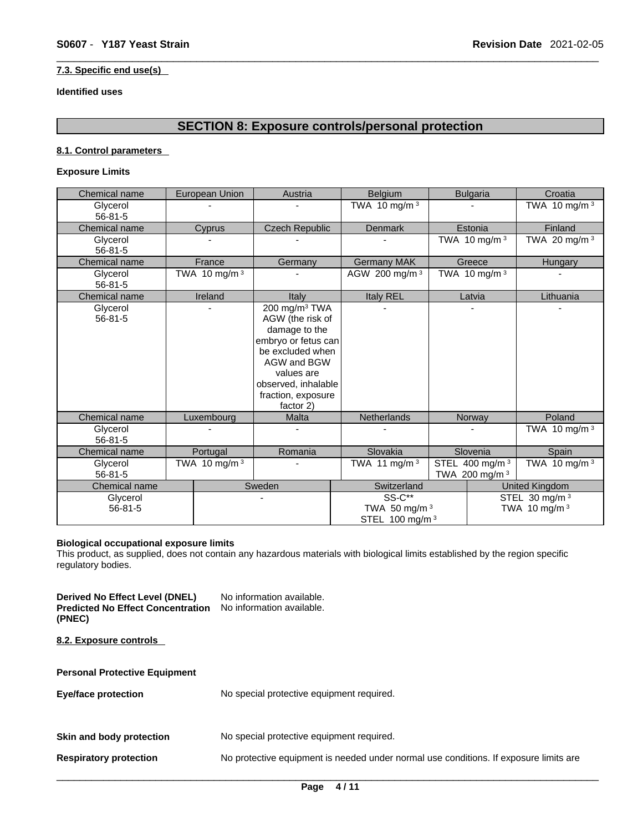#### **7.3. Specific end use(s)**

#### **Identified uses**

### **SECTION 8: Exposure controls/personal protection**

#### **8.1. Control parameters**

#### **Exposure Limits**

| Chemical name             | European Union  | Austria                                                                                                                                                                                          | Belgium                                                      |                                              | <b>Bulgaria</b> | Croatia                                    |
|---------------------------|-----------------|--------------------------------------------------------------------------------------------------------------------------------------------------------------------------------------------------|--------------------------------------------------------------|----------------------------------------------|-----------------|--------------------------------------------|
| Glycerol<br>$56 - 81 - 5$ |                 |                                                                                                                                                                                                  | TWA 10 mg/m $3$                                              |                                              |                 | TWA 10 mg/m <sup>3</sup>                   |
| Chemical name             | Cyprus          | <b>Czech Republic</b>                                                                                                                                                                            | <b>Denmark</b>                                               |                                              | Estonia         | Finland                                    |
| Glycerol<br>$56 - 81 - 5$ |                 |                                                                                                                                                                                                  |                                                              |                                              | TWA 10 mg/m $3$ | TWA 20 mg/m $3$                            |
| Chemical name             | France          | Germany                                                                                                                                                                                          | <b>Germany MAK</b>                                           |                                              | Greece          | Hungary                                    |
| Glycerol<br>$56 - 81 - 5$ | TWA 10 mg/m $3$ |                                                                                                                                                                                                  | AGW 200 mg/m 3                                               |                                              | TWA 10 mg/m $3$ |                                            |
| Chemical name             | Ireland         | Italy                                                                                                                                                                                            | Italy REL                                                    |                                              | Latvia          | Lithuania                                  |
| Glycerol<br>$56 - 81 - 5$ |                 | 200 mg/m <sup>3</sup> TWA<br>AGW (the risk of<br>damage to the<br>embryo or fetus can<br>be excluded when<br>AGW and BGW<br>values are<br>observed, inhalable<br>fraction, exposure<br>factor 2) |                                                              |                                              |                 |                                            |
| Chemical name             | Luxembourg      | <b>Malta</b>                                                                                                                                                                                     | <b>Netherlands</b>                                           |                                              | Norway          | Poland                                     |
| Glycerol<br>$56 - 81 - 5$ |                 |                                                                                                                                                                                                  |                                                              |                                              |                 | TWA 10 mg/m $3$                            |
| Chemical name             | Portugal        | Romania                                                                                                                                                                                          | Slovakia                                                     | Slovenia                                     |                 | Spain                                      |
| Glycerol<br>$56 - 81 - 5$ | TWA 10 mg/m $3$ |                                                                                                                                                                                                  | TWA 11 mg/m $3$                                              | STEL 400 mg/m <sup>3</sup><br>TWA 200 mg/m 3 |                 | TWA 10 mg/m $3$                            |
| Chemical name             |                 | Sweden                                                                                                                                                                                           | Switzerland                                                  |                                              |                 | <b>United Kingdom</b>                      |
| Glycerol<br>$56 - 81 - 5$ |                 | ٠                                                                                                                                                                                                | <b>SS-C**</b><br>TWA 50 mg/m 3<br>STEL 100 mg/m <sup>3</sup> |                                              |                 | STEL 30 mg/m <sup>3</sup><br>TWA 10 mg/m 3 |

#### **Biological occupational exposure limits**

This product, as supplied, does not contain any hazardous materials with biological limits established by the region specific regulatory bodies.

**Derived No Effect Level (DNEL)** No information available. **Predicted No Effect Concentration** No information available. **(PNEC) 8.2. Exposure controls Personal Protective Equipment Eye/face protection** No special protective equipment required. **Skin and body protection** No special protective equipment required. **Respiratory protection** No protective equipment is needed under normal use conditions. If exposure limits are  $\_$  ,  $\_$  ,  $\_$  ,  $\_$  ,  $\_$  ,  $\_$  ,  $\_$  ,  $\_$  ,  $\_$  ,  $\_$  ,  $\_$  ,  $\_$  ,  $\_$  ,  $\_$  ,  $\_$  ,  $\_$  ,  $\_$  ,  $\_$  ,  $\_$  ,  $\_$  ,  $\_$  ,  $\_$  ,  $\_$  ,  $\_$  ,  $\_$  ,  $\_$  ,  $\_$  ,  $\_$  ,  $\_$  ,  $\_$  ,  $\_$  ,  $\_$  ,  $\_$  ,  $\_$  ,  $\_$  ,  $\_$  ,  $\_$  ,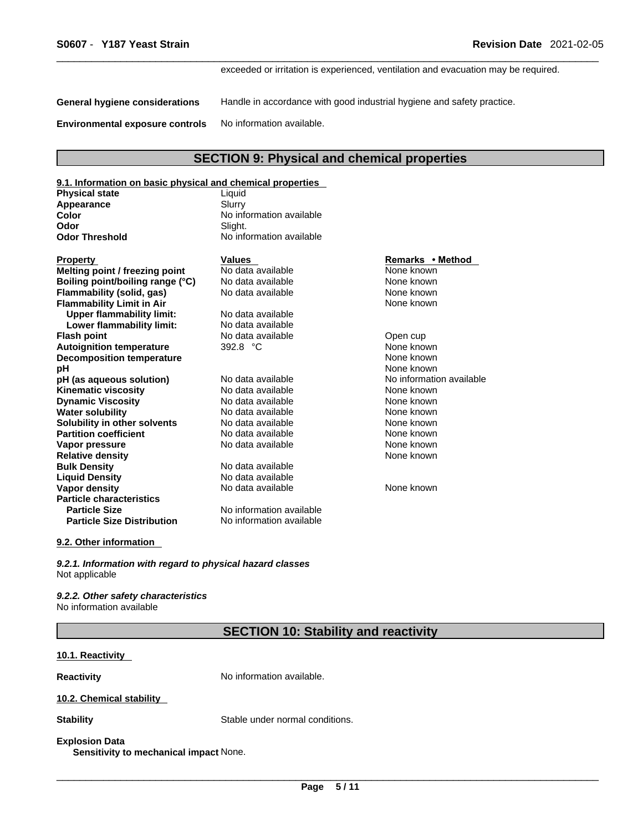exceeded or irritation is experienced, ventilation and evacuation may be required.

**General hygiene considerations** Handle in accordance with good industrial hygiene and safety practice.

**Environmental exposure controls** No information available.

### **SECTION 9: Physical and chemical properties**

| 9.1. Information on basic physical and chemical properties |                          |                          |
|------------------------------------------------------------|--------------------------|--------------------------|
| Physical state                                             | Liquid                   |                          |
| Appearance                                                 | Slurry                   |                          |
| Color                                                      | No information available |                          |
| Odor                                                       | Slight.                  |                          |
| <b>Odor Threshold</b>                                      | No information available |                          |
| Property                                                   | <b>Values</b>            | Remarks • Method         |
| Melting point / freezing point                             | No data available        | None known               |
| Boiling point/boiling range (°C)                           | No data available        | None known               |
| Flammability (solid, gas)                                  | No data available        | None known               |
| <b>Flammability Limit in Air</b>                           |                          | None known               |
| <b>Upper flammability limit:</b>                           | No data available        |                          |
| Lower flammability limit:                                  | No data available        |                          |
| Flash point                                                | No data available        | Open cup                 |
| <b>Autoignition temperature</b>                            | 392.8 °C                 | None known               |
| <b>Decomposition temperature</b>                           |                          | None known               |
| рH                                                         |                          | None known               |
| pH (as aqueous solution)                                   | No data available        | No information available |
| Kinematic viscosity                                        | No data available        | None known               |
| <b>Dynamic Viscosity</b>                                   | No data available        | None known               |
| Water solubility                                           | No data available        | None known               |
| Solubility in other solvents                               | No data available        | None known               |
| <b>Partition coefficient</b>                               | No data available        | None known               |
| Vapor pressure                                             | No data available        | None known               |
| <b>Relative density</b>                                    |                          | None known               |
| <b>Bulk Density</b>                                        | No data available        |                          |
| <b>Liquid Density</b>                                      | No data available        |                          |
| Vapor density                                              | No data available        | None known               |
| <b>Particle characteristics</b>                            |                          |                          |
| <b>Particle Size</b>                                       | No information available |                          |
| <b>Particle Size Distribution</b>                          | No information available |                          |

#### **9.2. Other information**

*9.2.1. Information with regard to physical hazard classes* Not applicable

*9.2.2. Other safety characteristics* No information available

**SECTION 10: Stability and reactivity** 

#### **10.1. Reactivity**

**Reactivity No information available.** 

#### **10.2. Chemical stability**

**Stability** Stable under normal conditions.

#### **Explosion Data**

**Sensitivity to mechanical impact** None.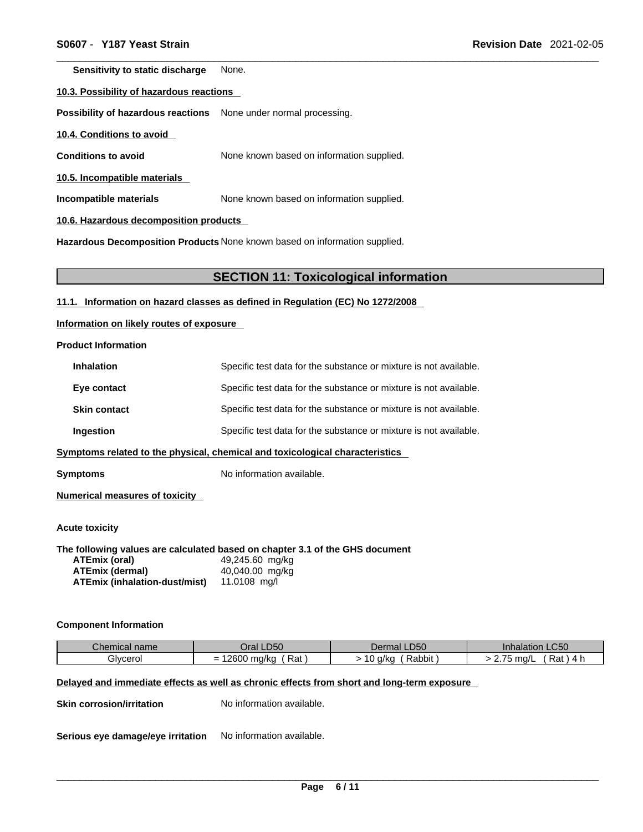**Sensitivity to static discharge** None.

#### **10.3. Possibility of hazardous reactions**

**Possibility of hazardous reactions** None under normal processing.

**10.4. Conditions to avoid** 

**Conditions to avoid** None known based on information supplied.

**10.5. Incompatible materials**

**Incompatible materials** None known based on information supplied.

**10.6. Hazardous decomposition products** 

**Hazardous Decomposition Products** None known based on information supplied.

#### **SECTION 11: Toxicological information**

**11.1. Information on hazard classes as defined in Regulation (EC) No 1272/2008**

**Information on likely routes of exposure**

**Product Information**

| <b>Inhalation</b>   | Specific test data for the substance or mixture is not available. |
|---------------------|-------------------------------------------------------------------|
| Eye contact         | Specific test data for the substance or mixture is not available. |
| <b>Skin contact</b> | Specific test data for the substance or mixture is not available. |
| Ingestion           | Specific test data for the substance or mixture is not available. |
|                     |                                                                   |

**<u>Symptoms related to the physical, chemical and toxicological characteristics</u>** 

**Symptoms** No information available.

**Numerical measures of toxicity**

**Acute toxicity** 

**The following values are calculated based on chapter 3.1 of the GHS document**

| ATEmix (oral)                        | 49,245.60 mg/kg |
|--------------------------------------|-----------------|
| <b>ATEmix (dermal)</b>               | 40,040.00 mg/kg |
| <b>ATEmix (inhalation-dust/mist)</b> | 11.0108 mg/l    |

#### **Component Information**

| Chemical name | DEC                    | LD50                             | $\sim$ $\sim$ $\sim$                  |
|---------------|------------------------|----------------------------------|---------------------------------------|
|               | Jr2                    | ™mai ∟                           | LUOU                                  |
|               | - Pu                   | Jeil                             | <u>ialauon</u>                        |
| Givcerol      | $\sim$<br>Rat<br>ma/kc | . .<br>_<br>Rabbit.<br>a/kc<br>ັ | -<br>m <sub>0</sub><br>Rat<br>1 I W L |

### **Delayed and immediate effects as well as chronic effects from short and long-term exposure**

**Skin corrosion/irritation** No information available.

**Serious eye damage/eye irritation** No information available.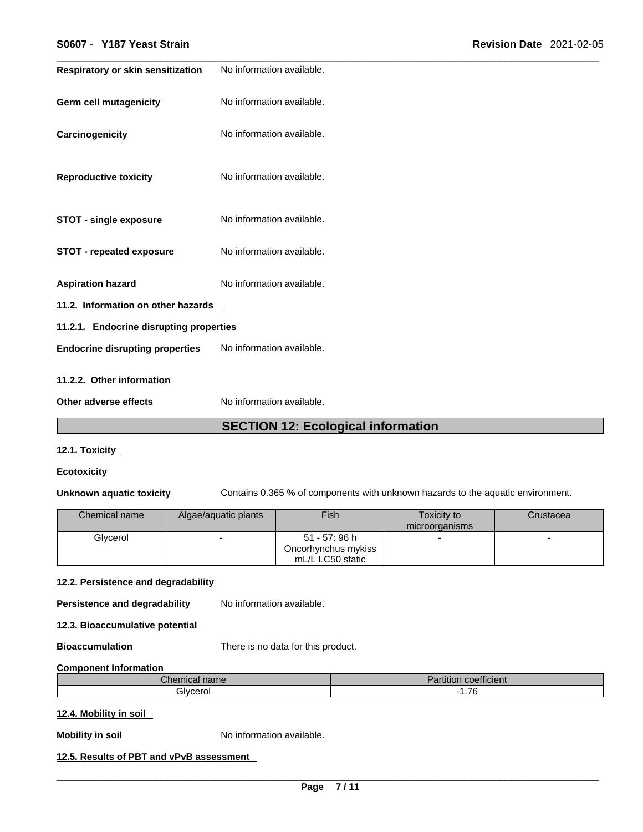|                           | <b>Revision Date 2021-02-05</b>                                               |  |
|---------------------------|-------------------------------------------------------------------------------|--|
| No information available. |                                                                               |  |
| No information available. |                                                                               |  |
| No information available. |                                                                               |  |
| No information available. |                                                                               |  |
| No information available. |                                                                               |  |
| No information available. |                                                                               |  |
| No information available. |                                                                               |  |
|                           |                                                                               |  |
|                           |                                                                               |  |
| No information available. |                                                                               |  |
|                           |                                                                               |  |
| No information available. |                                                                               |  |
|                           | 11.2. Information on other hazards<br>11.2.1. Endocrine disrupting properties |  |

### **SECTION 12: Ecological information**

#### **12.1. Toxicity**

#### **Ecotoxicity**

**Unknown aquatic toxicity** Contains 0.365 % of components with unknown hazards to the aquatic environment.

| Chemical name | Algae/aquatic plants | Fish                | Toxicity to<br>microorganisms | Crustacea |
|---------------|----------------------|---------------------|-------------------------------|-----------|
| Glvcerol      |                      | 51 - 57: 96 h       |                               |           |
|               |                      | Oncorhynchus mykiss |                               |           |
|               |                      | mL/L LC50 static    |                               |           |

#### **12.2. Persistence and degradability**

**Persistence and degradability** No information available.

**12.3. Bioaccumulative potential**

**Bioaccumulation** There is no data for this product.

#### **Component Information**

| $h \wedge w$<br>$   -$<br>Unemical name | $\overline{\phantom{a}}$<br>.<br><b>coefficient</b><br>artition |
|-----------------------------------------|-----------------------------------------------------------------|
| ilvcerol                                | $\rightarrow$<br>.                                              |

#### **12.4. Mobility in soil**

**Mobility in soil** No information available.

### **12.5. Results of PBT and vPvB assessment**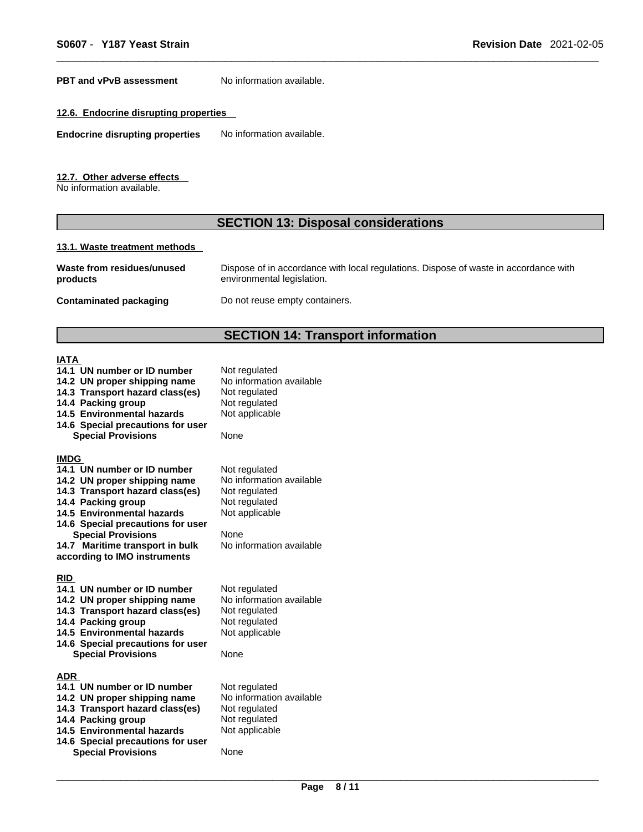**PBT** and **vPvB** assessment No information available.

#### **12.6. Endocrine disrupting properties**

**Endocrine disrupting properties** No information available.

**12.7. Other adverse effects** 

No information available.

### **SECTION 13: Disposal considerations**

#### **13.1. Waste treatment methods**

| Waste from residues/unused | Dispose of in accordance with local regulations. Dispose of waste in accordance with |
|----------------------------|--------------------------------------------------------------------------------------|
| products                   | environmental legislation.                                                           |
|                            |                                                                                      |

**Contaminated packaging** Do not reuse empty containers.

# **SECTION 14: Transport information**

# $\frac{IA}{14}$

|                                                                                                                                                                                                                                                                                                               | <b>JLVIIVII 14. HANSPULH</b>                                                                                                      |
|---------------------------------------------------------------------------------------------------------------------------------------------------------------------------------------------------------------------------------------------------------------------------------------------------------------|-----------------------------------------------------------------------------------------------------------------------------------|
| IATA<br>14.1 UN number or ID number<br>14.2 UN proper shipping name<br>14.3 Transport hazard class(es)<br>14.4 Packing group<br>14.5 Environmental hazards<br>14.6 Special precautions for user<br><b>Special Provisions</b>                                                                                  | Not regulated<br>No information available<br>Not regulated<br>Not regulated<br>Not applicable<br>None                             |
| <b>IMDG</b><br>14.1 UN number or ID number<br>14.2 UN proper shipping name<br>14.3 Transport hazard class(es)<br>14.4 Packing group<br><b>14.5 Environmental hazards</b><br>14.6 Special precautions for user<br><b>Special Provisions</b><br>14.7 Maritime transport in bulk<br>according to IMO instruments | Not regulated<br>No information available<br>Not regulated<br>Not regulated<br>Not applicable<br>None<br>No information available |
| RID<br>14.1 UN number or ID number<br>14.2 UN proper shipping name<br>14.3 Transport hazard class(es)<br>14.4 Packing group<br>14.5 Environmental hazards<br>14.6 Special precautions for user<br><b>Special Provisions</b>                                                                                   | Not regulated<br>No information available<br>Not regulated<br>Not regulated<br>Not applicable<br>None                             |
| <b>ADR</b><br>14.1 UN number or ID number<br>14.2 UN proper shipping name<br>14.3 Transport hazard class(es)<br>14.4 Packing group<br><b>14.5 Environmental hazards</b><br>14.6 Special precautions for user<br><b>Special Provisions</b>                                                                     | Not regulated<br>No information available<br>Not regulated<br>Not regulated<br>Not applicable<br>None                             |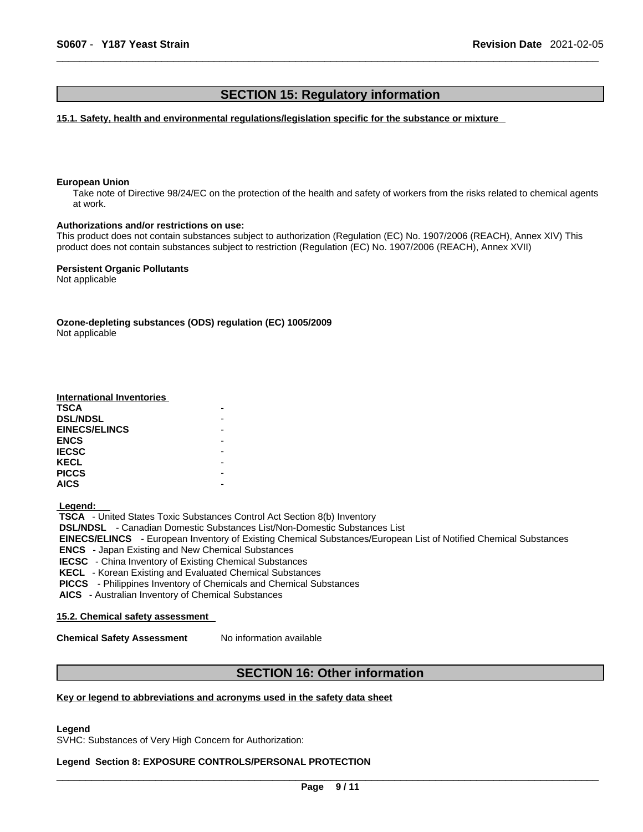### **SECTION 15: Regulatory information**

**15.1. Safety, health and environmental regulations/legislation specific for the substance or mixture**

#### **European Union**

Take note of Directive 98/24/EC on the protection of the health and safety of workers from the risks related to chemical agents at work.

#### **Authorizations and/or restrictions on use:**

This product does not contain substances subject to authorization (Regulation (EC) No. 1907/2006 (REACH), Annex XIV) This product does not contain substances subject to restriction (Regulation (EC) No. 1907/2006 (REACH), Annex XVII)

**Persistent Organic Pollutants** Not applicable

**Ozone-depleting substances (ODS) regulation (EC) 1005/2009**

Not applicable

#### **International Inventories**

| <b>TSCA</b>          |  |
|----------------------|--|
| <b>DSL/NDSL</b>      |  |
| <b>EINECS/ELINCS</b> |  |
| <b>ENCS</b>          |  |
| <b>IECSC</b>         |  |
| <b>KECL</b>          |  |
| <b>PICCS</b>         |  |
| <b>AICS</b>          |  |

 **Legend:** 

 **TSCA** - United States Toxic Substances Control Act Section 8(b) Inventory  **DSL/NDSL** - Canadian Domestic Substances List/Non-Domestic Substances List  **EINECS/ELINCS** - European Inventory of Existing Chemical Substances/European List of Notified Chemical Substances  **ENCS** - Japan Existing and New Chemical Substances  **IECSC** - China Inventory of Existing Chemical Substances  **KECL** - Korean Existing and Evaluated Chemical Substances  **PICCS** - Philippines Inventory of Chemicals and Chemical Substances

 **AICS** - Australian Inventory of Chemical Substances

#### **15.2. Chemical safety assessment**

**Chemical Safety Assessment** No information available

### **SECTION 16: Other information**

#### **Key or legend to abbreviations and acronyms used in the safety data sheet**

**Legend** 

SVHC: Substances of Very High Concern for Authorization:

### **Legend Section 8: EXPOSURE CONTROLS/PERSONAL PROTECTION**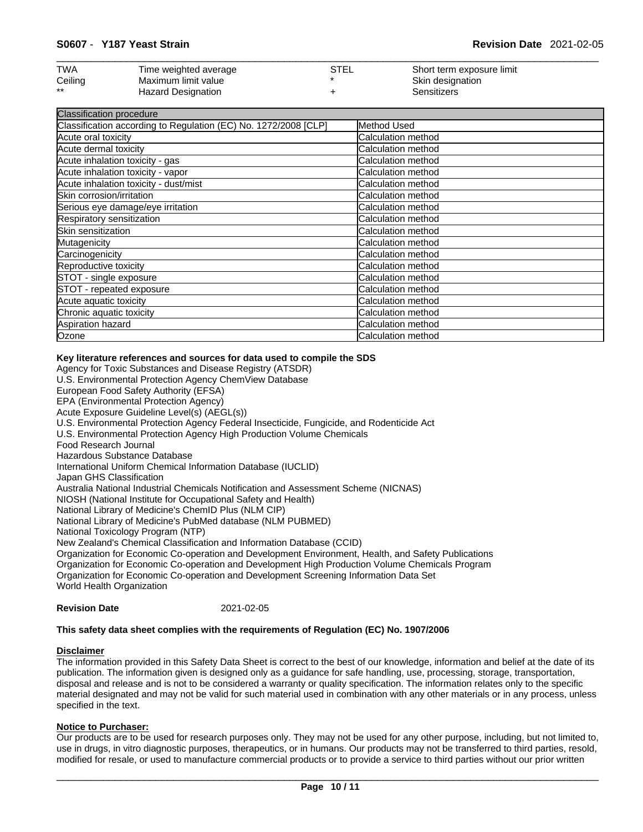| <b>TWA</b> | Time weighted average | STEL | Short term exposure limit |
|------------|-----------------------|------|---------------------------|
| Ceiling    | Maximum limit value   |      | Skin designation          |
| $***$      | Hazard Designation    |      | Sensitizers               |

| Classification procedure                                        |                    |
|-----------------------------------------------------------------|--------------------|
| Classification according to Regulation (EC) No. 1272/2008 [CLP] | Method Used        |
| Acute oral toxicity                                             | Calculation method |
| Acute dermal toxicity                                           | Calculation method |
| Acute inhalation toxicity - gas                                 | Calculation method |
| Acute inhalation toxicity - vapor                               | Calculation method |
| Acute inhalation toxicity - dust/mist                           | Calculation method |
| Skin corrosion/irritation                                       | Calculation method |
| Serious eye damage/eye irritation                               | Calculation method |
| Respiratory sensitization                                       | Calculation method |
| Skin sensitization                                              | Calculation method |
| Mutagenicity                                                    | Calculation method |
| Carcinogenicity                                                 | Calculation method |
| Reproductive toxicity                                           | Calculation method |
| STOT - single exposure                                          | Calculation method |
| STOT - repeated exposure                                        | Calculation method |
| Acute aquatic toxicity                                          | Calculation method |
| Chronic aquatic toxicity                                        | Calculation method |
| Aspiration hazard                                               | Calculation method |
| Ozone                                                           | Calculation method |

#### **Key literature references and sources for data used to compile the SDS**

Agency for Toxic Substances and Disease Registry (ATSDR) U.S. Environmental Protection Agency ChemView Database European Food Safety Authority (EFSA) EPA (Environmental Protection Agency) Acute Exposure Guideline Level(s) (AEGL(s)) U.S. Environmental Protection Agency Federal Insecticide, Fungicide, and Rodenticide Act U.S. Environmental Protection Agency High Production Volume Chemicals Food Research Journal Hazardous Substance Database International Uniform Chemical Information Database (IUCLID) Japan GHS Classification Australia National Industrial Chemicals Notification and Assessment Scheme (NICNAS) NIOSH (National Institute for Occupational Safety and Health) National Library of Medicine's ChemID Plus (NLM CIP) National Library of Medicine's PubMed database (NLM PUBMED) National Toxicology Program (NTP) New Zealand's Chemical Classification and Information Database (CCID) Organization for Economic Co-operation and Development Environment, Health, and Safety Publications Organization for Economic Co-operation and Development High Production Volume Chemicals Program Organization for Economic Co-operation and Development Screening Information Data Set World Health Organization

| <b>Revision Date</b> | 2021-02-05 |  |
|----------------------|------------|--|
|                      |            |  |

#### **This safety data sheet complies with the requirements of Regulation (EC) No. 1907/2006**

#### **Disclaimer**

The information provided in this Safety Data Sheet is correct to the best of our knowledge, information and belief at the date of its publication. The information given is designed only as a guidance for safe handling, use, processing, storage, transportation, disposal and release and is not to be considered a warranty or quality specification. The information relates only to the specific material designated and may not be valid for such material used in combination with any other materials or in any process, unless specified in the text.

#### **Notice to Purchaser:**

Our products are to be used for research purposes only. They may not be used for any other purpose, including, but not limited to, use in drugs, in vitro diagnostic purposes, therapeutics, or in humans. Our products may not be transferred to third parties, resold, modified for resale, or used to manufacture commercial products or to provide a service to third parties without our prior written